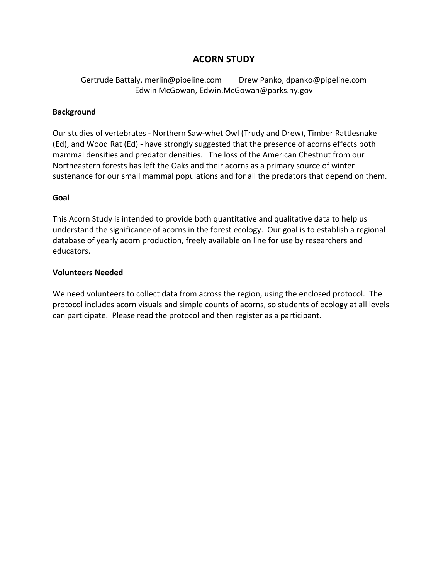## **ACORN STUDY**

Gertrude Battaly, merlin@pipeline.com Drew Panko, dpanko@pipeline.com Edwin McGowan, Edwin.McGowan@parks.ny.gov

### **Background**

Our studies of vertebrates ‐ Northern Saw‐whet Owl (Trudy and Drew), Timber Rattlesnake (Ed), and Wood Rat (Ed) ‐ have strongly suggested that the presence of acorns effects both mammal densities and predator densities. The loss of the American Chestnut from our Northeastern forests has left the Oaks and their acorns as a primary source of winter sustenance for our small mammal populations and for all the predators that depend on them.

#### **Goal**

This Acorn Study is intended to provide both quantitative and qualitative data to help us understand the significance of acorns in the forest ecology. Our goal is to establish a regional database of yearly acorn production, freely available on line for use by researchers and educators.

#### **Volunteers Needed**

We need volunteers to collect data from across the region, using the enclosed protocol. The protocol includes acorn visuals and simple counts of acorns, so students of ecology at all levels can participate. Please read the protocol and then register as a participant.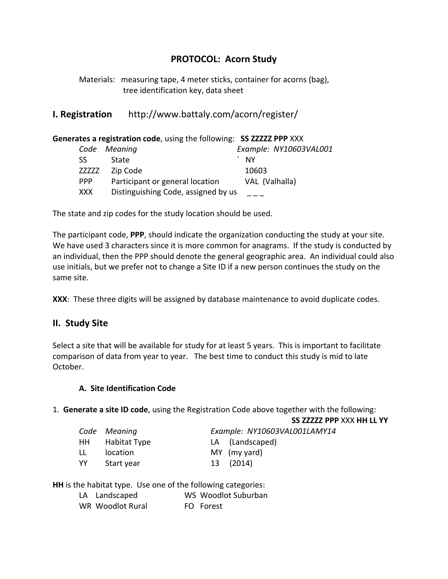# **PROTOCOL: Acorn Study**

Materials: measuring tape, 4 meter sticks, container for acorns (bag), tree identification key, data sheet

**I. Registration**  http://www.battaly.com/acorn/register/

|               | Generates a registration code, using the following: SS ZZZZZ PPP XXX |                        |
|---------------|----------------------------------------------------------------------|------------------------|
| Code          | Meaning                                                              | Example: NY10603VAL001 |
| SS.           | <b>State</b>                                                         | - NY                   |
| <b>ZZZZZZ</b> | Zip Code                                                             | 10603                  |
| <b>PPP</b>    | Participant or general location                                      | VAL (Valhalla)         |
| <b>XXX</b>    | Distinguishing Code, assigned by us                                  |                        |

The state and zip codes for the study location should be used.

The participant code, **PPP**, should indicate the organization conducting the study at your site. We have used 3 characters since it is more common for anagrams. If the study is conducted by an individual, then the PPP should denote the general geographic area. An individual could also use initials, but we prefer not to change a Site ID if a new person continues the study on the same site.

**XXX**: These three digits will be assigned by database maintenance to avoid duplicate codes.

### **II. Study Site**

Select a site that will be available for study for at least 5 years. This is important to facilitate comparison of data from year to year. The best time to conduct this study is mid to late October.

### **A. Site Identification Code**

1. **Generate a site ID code**, using the Registration Code above together with the following:

**SS ZZZZZ PPP** XXX **HH LL YY**

|  |  |  | ple: NY10603VAL001LAMY14 |
|--|--|--|--------------------------|
|--|--|--|--------------------------|

|      | Code Meaning    | Example: NY10603VAL001LAMY14 |  |
|------|-----------------|------------------------------|--|
|      | HH Habitat Type | LA (Landscaped)              |  |
| LL - | location        | MY (my yard)                 |  |
| YY   | Start year      | 13 (2014)                    |  |

**HH** is the habitat type. Use one of the following categories:

| LA Landscaped |  | WS Woodlot Suburban |
|---------------|--|---------------------|
|               |  |                     |

WR Woodlot Rural **FO** Forest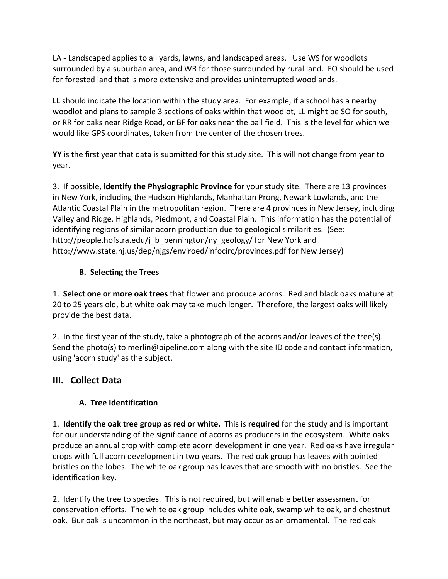LA - Landscaped applies to all yards, lawns, and landscaped areas. Use WS for woodlots surrounded by a suburban area, and WR for those surrounded by rural land. FO should be used for forested land that is more extensive and provides uninterrupted woodlands.

**LL** should indicate the location within the study area. For example, if a school has a nearby woodlot and plans to sample 3 sections of oaks within that woodlot, LL might be SO for south, or RR for oaks near Ridge Road, or BF for oaks near the ball field. This is the level for which we would like GPS coordinates, taken from the center of the chosen trees.

**YY** is the first year that data is submitted for this study site. This will not change from year to year.

3. If possible, **identify the Physiographic Province** for your study site. There are 13 provinces in New York, including the Hudson Highlands, Manhattan Prong, Newark Lowlands, and the Atlantic Coastal Plain in the metropolitan region. There are 4 provinces in New Jersey, including Valley and Ridge, Highlands, Piedmont, and Coastal Plain. This information has the potential of identifying regions of similar acorn production due to geological similarities. (See: http://people.hofstra.edu/j\_b\_bennington/ny\_geology/ for New York and http://www.state.nj.us/dep/njgs/enviroed/infocirc/provinces.pdf for New Jersey)

## **B. Selecting the Trees**

1. **Select one or more oak trees** that flower and produce acorns. Red and black oaks mature at 20 to 25 years old, but white oak may take much longer. Therefore, the largest oaks will likely provide the best data.

2. In the first year of the study, take a photograph of the acorns and/or leaves of the tree(s). Send the photo(s) to merlin@pipeline.com along with the site ID code and contact information, using 'acorn study' as the subject.

# **III. Collect Data**

# **A. Tree Identification**

1. **Identify the oak tree group as red or white.** This is **required** for the study and is important for our understanding of the significance of acorns as producers in the ecosystem. White oaks produce an annual crop with complete acorn development in one year. Red oaks have irregular crops with full acorn development in two years. The red oak group has leaves with pointed bristles on the lobes. The white oak group has leaves that are smooth with no bristles. See the identification key.

2. Identify the tree to species. This is not required, but will enable better assessment for conservation efforts. The white oak group includes white oak, swamp white oak, and chestnut oak. Bur oak is uncommon in the northeast, but may occur as an ornamental. The red oak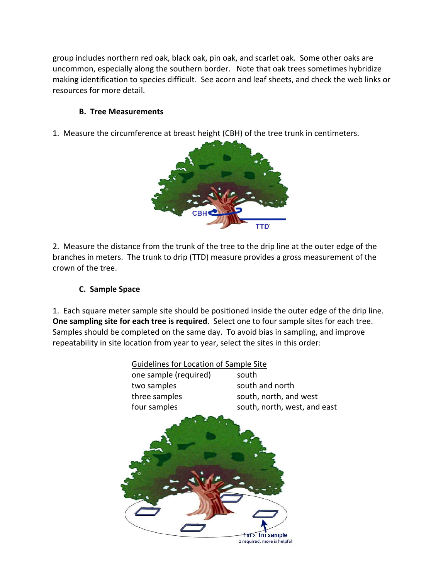group includes northern red oak, black oak, pin oak, and scarlet oak. Some other oaks are uncommon, especially along the southern border. Note that oak trees sometimes hybridize making identification to species difficult. See acorn and leaf sheets, and check the web links or resources for more detail.

### **B. Tree Measurements**

1. Measure the circumference at breast height (CBH) of the tree trunk in centimeters.



2. Measure the distance from the trunk of the tree to the drip line at the outer edge of the branches in meters. The trunk to drip (TTD) measure provides a gross measurement of the crown of the tree.

### **C. Sample Space**

1. Each square meter sample site should be positioned inside the outer edge of the drip line. **One sampling site for each tree is required**. Select one to four sample sites for each tree. Samples should be completed on the same day. To avoid bias in sampling, and improve repeatability in site location from year to year, select the sites in this order:

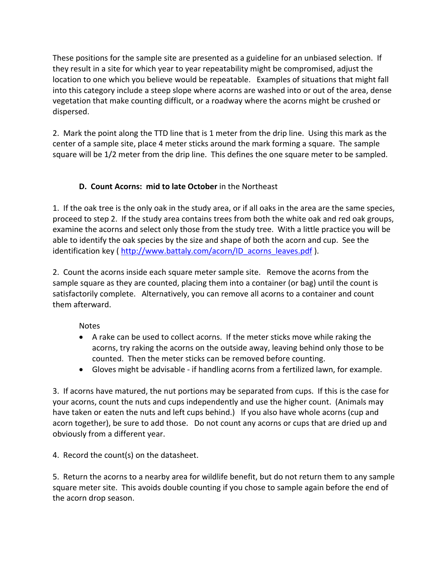These positions for the sample site are presented as a guideline for an unbiased selection. If they result in a site for which year to year repeatability might be compromised, adjust the location to one which you believe would be repeatable. Examples of situations that might fall into this category include a steep slope where acorns are washed into or out of the area, dense vegetation that make counting difficult, or a roadway where the acorns might be crushed or dispersed.

2. Mark the point along the TTD line that is 1 meter from the drip line. Using this mark as the center of a sample site, place 4 meter sticks around the mark forming a square. The sample square will be 1/2 meter from the drip line. This defines the one square meter to be sampled.

## **D. Count Acorns: mid to late October** in the Northeast

1. If the oak tree is the only oak in the study area, or if all oaks in the area are the same species, proceed to step 2. If the study area contains trees from both the white oak and red oak groups, examine the acorns and select only those from the study tree. With a little practice you will be able to identify the oak species by the size and shape of both the acorn and cup. See the identification key ( http://www.battaly.com/acorn/ID acorns leaves.pdf ).

2. Count the acorns inside each square meter sample site. Remove the acorns from the sample square as they are counted, placing them into a container (or bag) until the count is satisfactorily complete. Alternatively, you can remove all acorns to a container and count them afterward.

Notes

- A rake can be used to collect acorns. If the meter sticks move while raking the acorns, try raking the acorns on the outside away, leaving behind only those to be counted. Then the meter sticks can be removed before counting.
- Gloves might be advisable ‐ if handling acorns from a fertilized lawn, for example.

3. If acorns have matured, the nut portions may be separated from cups. If this is the case for your acorns, count the nuts and cups independently and use the higher count. (Animals may have taken or eaten the nuts and left cups behind.) If you also have whole acorns (cup and acorn together), be sure to add those. Do not count any acorns or cups that are dried up and obviously from a different year.

4. Record the count(s) on the datasheet.

5. Return the acorns to a nearby area for wildlife benefit, but do not return them to any sample square meter site. This avoids double counting if you chose to sample again before the end of the acorn drop season.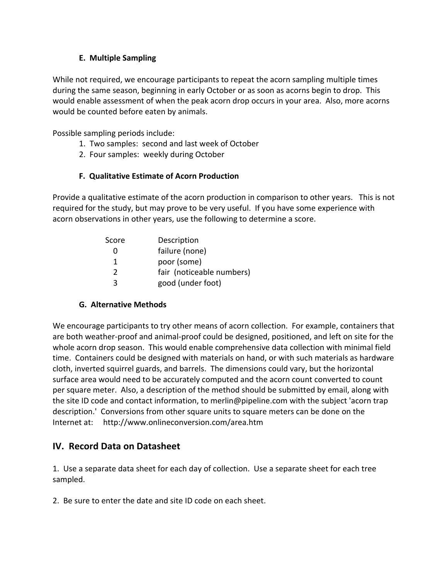### **E. Multiple Sampling**

While not required, we encourage participants to repeat the acorn sampling multiple times during the same season, beginning in early October or as soon as acorns begin to drop. This would enable assessment of when the peak acorn drop occurs in your area. Also, more acorns would be counted before eaten by animals.

Possible sampling periods include:

- 1. Two samples: second and last week of October
- 2. Four samples: weekly during October

## **F. Qualitative Estimate of Acorn Production**

Provide a qualitative estimate of the acorn production in comparison to other years. This is not required for the study, but may prove to be very useful. If you have some experience with acorn observations in other years, use the following to determine a score.

| Score | Description               |
|-------|---------------------------|
|       | failure (none)            |
|       | poor (some)               |
| 2     | fair (noticeable numbers) |
| ર     | good (under foot)         |

### **G. Alternative Methods**

We encourage participants to try other means of acorn collection. For example, containers that are both weather‐proof and animal‐proof could be designed, positioned, and left on site for the whole acorn drop season. This would enable comprehensive data collection with minimal field time. Containers could be designed with materials on hand, or with such materials as hardware cloth, inverted squirrel guards, and barrels. The dimensions could vary, but the horizontal surface area would need to be accurately computed and the acorn count converted to count per square meter. Also, a description of the method should be submitted by email, along with the site ID code and contact information, to merlin@pipeline.com with the subject 'acorn trap description.' Conversions from other square units to square meters can be done on the Internet at: http://www.onlineconversion.com/area.htm

# **IV. Record Data on Datasheet**

1. Use a separate data sheet for each day of collection. Use a separate sheet for each tree sampled.

2. Be sure to enter the date and site ID code on each sheet.